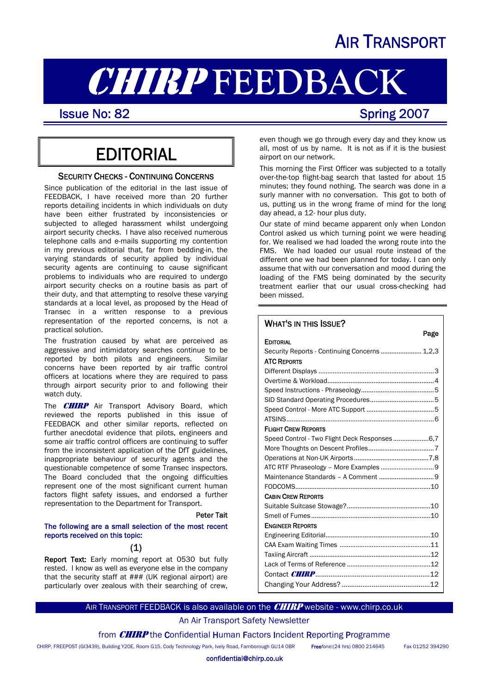# AIR TRANSPORT

# **CHIRP FEEDBACK**<br>Issue No: 82<br>Spring 2007

I

## **EDITORIAL**

#### **SECURITY CHECKS - CONTINUING CONCERNS**

Since publication of the editorial in the last issue of FEEDBACK, I have received more than 20 further reports detailing incidents in which individuals on duty have been either frustrated by inconsistencies or subjected to alleged harassment whilst undergoing airport security checks. I have also received numerous telephone calls and e-mails supporting my contention in my previous editorial that, far from bedding-in, the varying standards of security applied by individual security agents are continuing to cause significant problems to individuals who are required to undergo airport security checks on a routine basis as part of their duty, and that attempting to resolve these varying standards at a local level, as proposed by the Head of Transec in a written response to a previous representation of the reported concerns, is not a practical solution.

The frustration caused by what are perceived as aggressive and intimidatory searches continue to be reported by both pilots and engineers. Similar concerns have been reported by air traffic control officers at locations where they are required to pass through airport security prior to and following their watch duty.

The **CHIRP** Air Transport Advisory Board, which reviewed the reports published in this issue of FEEDBACK and other similar reports, reflected on further anecdotal evidence that pilots, engineers and some air traffic control officers are continuing to suffer from the inconsistent application of the DfT guidelines, inappropriate behaviour of security agents and the questionable competence of some Transec inspectors. The Board concluded that the ongoing difficulties represent one of the most significant current human factors flight safety issues, and endorsed a further representation to the Department for Transport.

#### Peter Tait

#### The following are a small selection of the most recent reports received on this topic:

### (1)

Report Text: Early morning report at 0530 but fully rested. I know as well as everyone else in the company that the security staff at ### (UK regional airport) are particularly over zealous with their searching of crew, even though we go through every day and they know us all, most of us by name. It is not as if it is the busiest airport on our network.

This morning the First Officer was subjected to a totally over-the-top flight-bag search that lasted for about 15 minutes; they found nothing. The search was done in a surly manner with no conversation. This got to both of us, putting us in the wrong frame of mind for the long day ahead, a 12- hour plus duty.

Our state of mind became apparent only when London Control asked us which turning point we were heading for. We realised we had loaded the wrong route into the FMS. We had loaded our usual route instead of the different one we had been planned for today. I can only assume that with our conversation and mood during the loading of the FMS being dominated by the security treatment earlier that our usual cross-checking had been missed.

#### WHAT'S IN THIS ISSUE?

| rage                                          |
|-----------------------------------------------|
| <b>EDITORIAL</b>                              |
| Security Reports - Continuing Concerns  1,2,3 |
| <b>ATC REPORTS</b>                            |
|                                               |
|                                               |
|                                               |
|                                               |
|                                               |
|                                               |
| <b>FLIGHT CREW REPORTS</b>                    |
|                                               |
|                                               |
|                                               |
| ATC RTF Phraseology - More Examples  9        |
|                                               |
|                                               |
| <b>CABIN CREW REPORTS</b>                     |
|                                               |
|                                               |
| <b>ENGINEER REPORTS</b>                       |
|                                               |
|                                               |
|                                               |
|                                               |
|                                               |
|                                               |

#### AIR TRANSPORT FEEDBACK is also available on the **CHIRP** website - www.chirp.co.uk

### An Air Transport Safety Newsletter

from **CHIRP** the Confidential Human Factors Incident Reporting Programme

CHIRP, FREEPOST (GI3439), Building Y20E, Room G15, Cody Technology Park, Ively Road, Farnborough GU14 0BR Free*fone*:(24 hrs) 0800 214645 Fax 01252 394290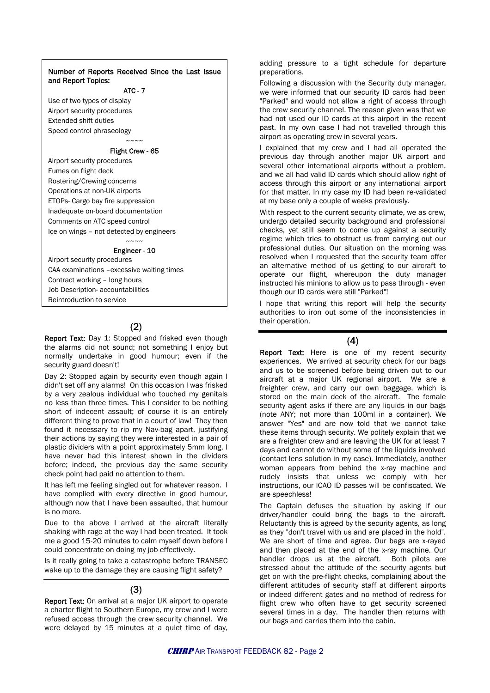#### Number of Reports Received Since the Last Issue | preparations. and Report Topics:

#### ATC - 7

Use of two types of display Airport security procedures Extended shift duties Speed control phraseology  $\sim\sim\sim\sim$ 

#### Flight Crew - 65

Airport security procedures Fumes on flight deck Rostering/Crewing concerns Operations at non-UK airports ETOPs- Cargo bay fire suppression Inadequate on-board documentation Comments on ATC speed control Ice on wings – not detected by engineers

#### $\sim\sim\sim\sim$ Engineer - 10

Airport security procedures CAA examinations –excessive waiting times Contract working – long hours Job Description- accountabilities Reintroduction to service

## (2)

Report Text: Day 1: Stopped and frisked even though the alarms did not sound; not something I enjoy but normally undertake in good humour; even if the security guard doesn't!

Day 2: Stopped again by security even though again I didn't set off any alarms! On this occasion I was frisked by a very zealous individual who touched my genitals no less than three times. This I consider to be nothing short of indecent assault; of course it is an entirely different thing to prove that in a court of law! They then found it necessary to rip my Nav-bag apart, justifying their actions by saying they were interested in a pair of plastic dividers with a point approximately 5mm long. I have never had this interest shown in the dividers before; indeed, the previous day the same security check point had paid no attention to them.

It has left me feeling singled out for whatever reason. I have complied with every directive in good humour, although now that I have been assaulted, that humour is no more.

Due to the above I arrived at the aircraft literally shaking with rage at the way I had been treated. It took me a good 15-20 minutes to calm myself down before I could concentrate on doing my job effectively.

Is it really going to take a catastrophe before TRANSEC wake up to the damage they are causing flight safety?

#### (3)

Report Text: On arrival at a major UK airport to operate a charter flight to Southern Europe, my crew and I were refused access through the crew security channel. We were delayed by 15 minutes at a quiet time of day, adding pressure to a tight schedule for departure

Following a discussion with the Security duty manager, we were informed that our security ID cards had been "Parked" and would not allow a right of access through the crew security channel. The reason given was that we had not used our ID cards at this airport in the recent past. In my own case I had not travelled through this airport as operating crew in several years.

I explained that my crew and I had all operated the previous day through another major UK airport and several other international airports without a problem, and we all had valid ID cards which should allow right of access through this airport or any international airport for that matter. In my case my ID had been re-validated at my base only a couple of weeks previously.

With respect to the current security climate, we as crew, undergo detailed security background and professional checks, yet still seem to come up against a security regime which tries to obstruct us from carrying out our professional duties. Our situation on the morning was resolved when I requested that the security team offer an alternative method of us getting to our aircraft to operate our flight, whereupon the duty manager instructed his minions to allow us to pass through - even though our ID cards were still "Parked"!

I hope that writing this report will help the security authorities to iron out some of the inconsistencies in their operation.

#### (4)

Report Text: Here is one of my recent security experiences. We arrived at security check for our bags and us to be screened before being driven out to our aircraft at a major UK regional airport. We are a freighter crew, and carry our own baggage, which is stored on the main deck of the aircraft. The female security agent asks if there are any liquids in our bags (note ANY; not more than 100ml in a container). We answer "Yes" and are now told that we cannot take these items through security. We politely explain that we are a freighter crew and are leaving the UK for at least 7 days and cannot do without some of the liquids involved (contact lens solution in my case). Immediately, another woman appears from behind the x-ray machine and rudely insists that unless we comply with her instructions, our ICAO ID passes will be confiscated. We are speechless!

The Captain defuses the situation by asking if our driver/handler could bring the bags to the aircraft. Reluctantly this is agreed by the security agents, as long as they "don't travel with us and are placed in the hold". We are short of time and agree. Our bags are x-rayed and then placed at the end of the x-ray machine. Our handler drops us at the aircraft. Both pilots are stressed about the attitude of the security agents but get on with the pre-flight checks, complaining about the different attitudes of security staff at different airports or indeed different gates and no method of redress for flight crew who often have to get security screened several times in a day. The handler then returns with our bags and carries them into the cabin.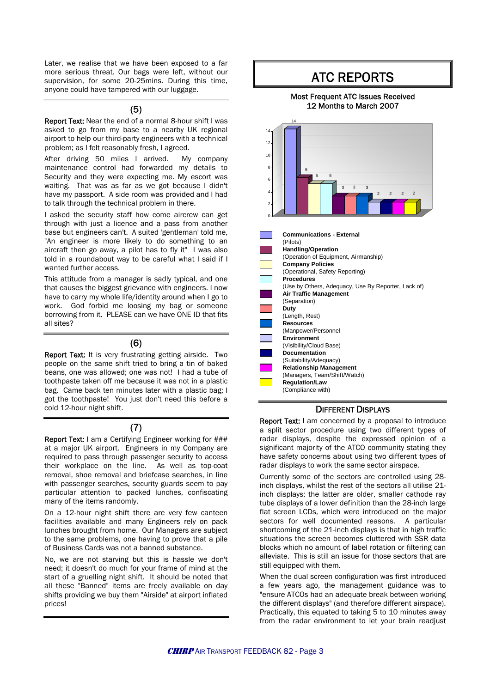Later, we realise that we have been exposed to a far more serious threat. Our bags were left, without our supervision, for some 20-25mins. During this time, anyone could have tampered with our luggage.

#### (5)

Report Text: Near the end of a normal 8-hour shift I was asked to go from my base to a nearby UK regional airport to help our third-party engineers with a technical problem; as I felt reasonably fresh, I agreed.

After driving 50 miles I arrived. My company maintenance control had forwarded my details to Security and they were expecting me. My escort was waiting. That was as far as we got because I didn't have my passport. A side room was provided and I had to talk through the technical problem in there.

I asked the security staff how come aircrew can get through with just a licence and a pass from another base but engineers can't. A suited 'gentleman' told me, "An engineer is more likely to do something to an aircraft then go away, a pilot has to fly it" I was also told in a roundabout way to be careful what I said if I wanted further access.

This attitude from a manager is sadly typical, and one that causes the biggest grievance with engineers. I now have to carry my whole life/identity around when I go to work. God forbid me loosing my bag or someone borrowing from it. PLEASE can we have ONE ID that fits all sites?

#### (6)

Report Text: It is very frustrating getting airside. Two people on the same shift tried to bring a tin of baked beans, one was allowed; one was not! I had a tube of toothpaste taken off me because it was not in a plastic bag. Came back ten minutes later with a plastic bag; I got the toothpaste! You just don't need this before a cold 12-hour night shift.

### (7)

Report Text: I am a Certifying Engineer working for ### at a major UK airport. Engineers in my Company are required to pass through passenger security to access their workplace on the line. As well as top-coat removal, shoe removal and briefcase searches, in line with passenger searches, security guards seem to pay particular attention to packed lunches, confiscating many of the items randomly.

On a 12-hour night shift there are very few canteen facilities available and many Engineers rely on pack lunches brought from home. Our Managers are subject to the same problems, one having to prove that a pile of Business Cards was not a banned substance.

No, we are not starving but this is hassle we don't need; it doesn't do much for your frame of mind at the start of a gruelling night shift. It should be noted that all these "Banned" items are freely available on day shifts providing we buy them "Airside" at airport inflated prices!

## ATC REPORTS

#### Most Frequent ATC Issues Received 12 Months to March 2007



#### DIFFERENT DISPLAYS

Report Text: I am concerned by a proposal to introduce a split sector procedure using two different types of radar displays, despite the expressed opinion of a significant majority of the ATCO community stating they have safety concerns about using two different types of radar displays to work the same sector airspace.

Currently some of the sectors are controlled using 28 inch displays, whilst the rest of the sectors all utilise 21 inch displays; the latter are older, smaller cathode ray tube displays of a lower definition than the 28-inch large flat screen LCDs, which were introduced on the major sectors for well documented reasons. A particular shortcoming of the 21-inch displays is that in high traffic situations the screen becomes cluttered with SSR data blocks which no amount of label rotation or filtering can alleviate. This is still an issue for those sectors that are still equipped with them.

When the dual screen configuration was first introduced a few years ago, the management guidance was to "ensure ATCOs had an adequate break between working the different displays" (and therefore different airspace). Practically, this equated to taking 5 to 10 minutes away from the radar environment to let your brain readjust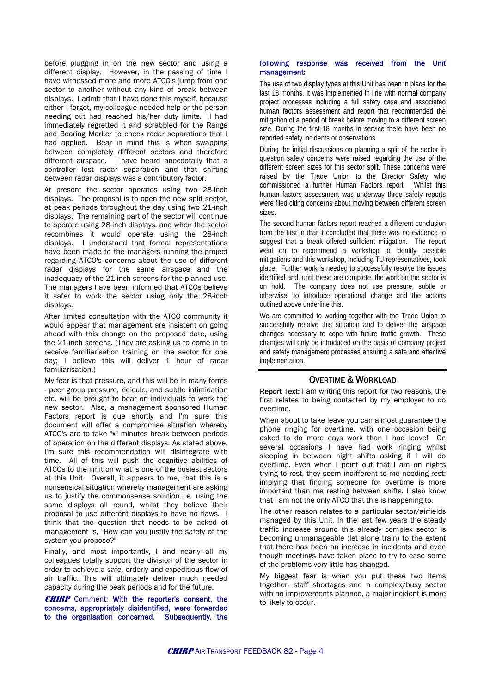before plugging in on the new sector and using a different display. However, in the passing of time I have witnessed more and more ATCO's jump from one sector to another without any kind of break between displays. I admit that I have done this myself, because either I forgot, my colleague needed help or the person needing out had reached his/her duty limits. I had immediately regretted it and scrabbled for the Range and Bearing Marker to check radar separations that I had applied. Bear in mind this is when swapping between completely different sectors and therefore different airspace. I have heard anecdotally that a controller lost radar separation and that shifting between radar displays was a contributory factor.

At present the sector operates using two 28-inch displays. The proposal is to open the new split sector, at peak periods throughout the day using two 21-inch displays. The remaining part of the sector will continue to operate using 28-inch displays, and when the sector recombines it would operate using the 28-inch displays. I understand that formal representations have been made to the managers running the project regarding ATCO's concerns about the use of different radar displays for the same airspace and the inadequacy of the 21-inch screens for the planned use. The managers have been informed that ATCOs believe it safer to work the sector using only the 28-inch displays.

After limited consultation with the ATCO community it would appear that management are insistent on going ahead with this change on the proposed date, using the 21-inch screens. (They are asking us to come in to receive familiarisation training on the sector for one day; I believe this will deliver 1 hour of radar familiarisation.)

My fear is that pressure, and this will be in many forms - peer group pressure, ridicule, and subtle intimidation etc, will be brought to bear on individuals to work the new sector. Also, a management sponsored Human Factors report is due shortly and I'm sure this document will offer a compromise situation whereby ATCO's are to take "x" minutes break between periods of operation on the different displays. As stated above, I'm sure this recommendation will disintegrate with time. All of this will push the cognitive abilities of ATCOs to the limit on what is one of the busiest sectors at this Unit. Overall, it appears to me, that this is a nonsensical situation whereby management are asking us to justify the commonsense solution i.e. using the same displays all round, whilst they believe their proposal to use different displays to have no flaws. I think that the question that needs to be asked of management is, "How can you justify the safety of the system you propose?"

Finally, and most importantly, I and nearly all my colleagues totally support the division of the sector in order to achieve a safe, orderly and expeditious flow of air traffic. This will ultimately deliver much needed capacity during the peak periods and for the future.

**CHIRP** Comment: With the reporter's consent, the concerns, appropriately disidentified, were forwarded to the organisation concerned. Subsequently, the

#### following response was received from the Unit management:

The use of two display types at this Unit has been in place for the last 18 months. It was implemented in line with normal company project processes including a full safety case and associated human factors assessment and report that recommended the mitigation of a period of break before moving to a different screen size. During the first 18 months in service there have been no reported safety incidents or observations.

During the initial discussions on planning a split of the sector in question safety concerns were raised regarding the use of the different screen sizes for this sector split. These concerns were raised by the Trade Union to the Director Safety who commissioned a further Human Factors report. Whilst this human factors assessment was underway three safety reports were filed citing concerns about moving between different screen sizes.

The second human factors report reached a different conclusion from the first in that it concluded that there was no evidence to suggest that a break offered sufficient mitigation. The report went on to recommend a workshop to identify possible mitigations and this workshop, including TU representatives, took place. Further work is needed to successfully resolve the issues identified and, until these are complete, the work on the sector is on hold. The company does not use pressure, subtle or otherwise, to introduce operational change and the actions outlined above underline this.

We are committed to working together with the Trade Union to successfully resolve this situation and to deliver the airspace changes necessary to cope with future traffic growth. These changes will only be introduced on the basis of company project and safety management processes ensuring a safe and effective implementation.

#### OVERTIME & WORKLOAD

Report Text: I am writing this report for two reasons, the first relates to being contacted by my employer to do overtime.

When about to take leave you can almost guarantee the phone ringing for overtime, with one occasion being asked to do more days work than I had leave! On several occasions I have had work ringing whilst sleeping in between night shifts asking if I will do overtime. Even when I point out that I am on nights trying to rest, they seem indifferent to me needing rest; implying that finding someone for overtime is more important than me resting between shifts. I also know that I am not the only ATCO that this is happening to.

The other reason relates to a particular sector/airfields managed by this Unit. In the last few years the steady traffic increase around this already complex sector is becoming unmanageable (let alone train) to the extent that there has been an increase in incidents and even though meetings have taken place to try to ease some of the problems very little has changed.

My biggest fear is when you put these two items together- staff shortages and a complex/busy sector with no improvements planned, a major incident is more to likely to occur.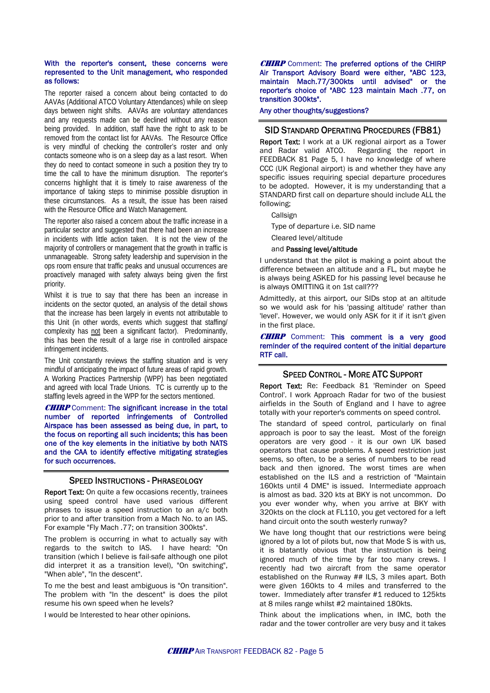#### With the reporter's consent, these concerns were represented to the Unit management, who responded as follows:

The reporter raised a concern about being contacted to do AAVAs (Additional ATCO Voluntary Attendances) while on sleep days between night shifts. AAVAs are *voluntary* attendances and any requests made can be declined without any reason being provided. In addition, staff have the right to ask to be removed from the contact list for AAVAs. The Resource Office is very mindful of checking the controller's roster and only contacts someone who is on a sleep day as a last resort. When they do need to contact someone in such a position they try to time the call to have the minimum disruption. The reporter's concerns highlight that it is timely to raise awareness of the importance of taking steps to minimise possible disruption in these circumstances. As a result, the issue has been raised with the Resource Office and Watch Management.

The reporter also raised a concern about the traffic increase in a particular sector and suggested that there had been an increase in incidents with little action taken. It is not the view of the majority of controllers or management that the growth in traffic is unmanageable. Strong safety leadership and supervision in the ops room ensure that traffic peaks and unusual occurrences are proactively managed with safety always being given the first priority.

Whilst it is true to say that there has been an increase in incidents on the sector quoted, an analysis of the detail shows that the increase has been largely in events not attributable to this Unit (in other words, events which suggest that staffing/ complexity has not been a significant factor). Predominantly, this has been the result of a large rise in controlled airspace infringement incidents.

The Unit constantly reviews the staffing situation and is very mindful of anticipating the impact of future areas of rapid growth. A Working Practices Partnership (WPP) has been negotiated and agreed with local Trade Unions. TC is currently up to the staffing levels agreed in the WPP for the sectors mentioned.

**CHIRP** Comment: The significant increase in the total number of reported infringements of Controlled Airspace has been assessed as being due, in part, to the focus on reporting all such incidents; this has been one of the key elements in the initiative by both NATS and the CAA to identify effective mitigating strategies for such occurrences.

#### SPEED INSTRUCTIONS - PHRASEOLOGY

Report Text: On quite a few occasions recently, trainees using speed control have used various different phrases to issue a speed instruction to an a/c both prior to and after transition from a Mach No. to an IAS. For example "Fly Mach .77; on transition 300kts".

The problem is occurring in what to actually say with regards to the switch to IAS. I have heard: "On transition (which I believe is fail-safe although one pilot did interpret it as a transition level), "On switching", "When able", "In the descent".

To me the best and least ambiguous is "On transition". The problem with "In the descent" is does the pilot resume his own speed when he levels?

I would be Interested to hear other opinions.

**CHIRP** Comment: The preferred options of the CHIRP Air Transport Advisory Board were either, "ABC 123, maintain Mach.77/300kts until advised" or the reporter's choice of "ABC 123 maintain Mach .77, on transition 300kts".

#### Any other thoughts/suggestions?

#### SID STANDARD OPERATING PROCEDURES (FB81)

**Report Text:** I work at a UK regional airport as a Tower<br>and Radar valid ATCO. Regarding the report in Regarding the report in FEEDBACK 81 Page 5, I have no knowledge of where CCC (UK Regional airport) is and whether they have any specific issues requiring special departure procedures to be adopted. However, it is my understanding that a STANDARD first call on departure should include ALL the following;

Callsign

Type of departure i.e. SID name

Cleared level/altitude

#### and Passing level/altitude

I understand that the pilot is making a point about the difference between an altitude and a FL, but maybe he is always being ASKED for his passing level because he is always OMITTING it on 1st call???

Admittedly, at this airport, our SIDs stop at an altitude so we would ask for his 'passing altitude' rather than 'level'. However, we would only ASK for it if it isn't given in the first place.

**CHIRP** Comment: This comment is a very good reminder of the required content of the initial departure RTF call.

#### SPEED CONTROL - MORE ATC SUPPORT

Report Text: Re: Feedback 81 'Reminder on Speed Control'. I work Approach Radar for two of the busiest airfields in the South of England and I have to agree totally with your reporter's comments on speed control.

The standard of speed control, particularly on final approach is poor to say the least. Most of the foreign operators are very good - it is our own UK based operators that cause problems. A speed restriction just seems, so often, to be a series of numbers to be read back and then ignored. The worst times are when established on the ILS and a restriction of "Maintain 160kts until 4 DME" is issued. Intermediate approach is almost as bad. 320 kts at BKY is not uncommon. Do you ever wonder why, when you arrive at BKY with 320kts on the clock at FL110, you get vectored for a left hand circuit onto the south westerly runway?

We have long thought that our restrictions were being ignored by a lot of pilots but, now that Mode S is with us, it is blatantly obvious that the instruction is being ignored much of the time by far too many crews. I recently had two aircraft from the same operator established on the Runway ## ILS, 3 miles apart. Both were given 160kts to 4 miles and transferred to the tower. Immediately after transfer #1 reduced to 125kts at 8 miles range whilst #2 maintained 180kts.

Think about the implications when, in IMC, both the radar and the tower controller are very busy and it takes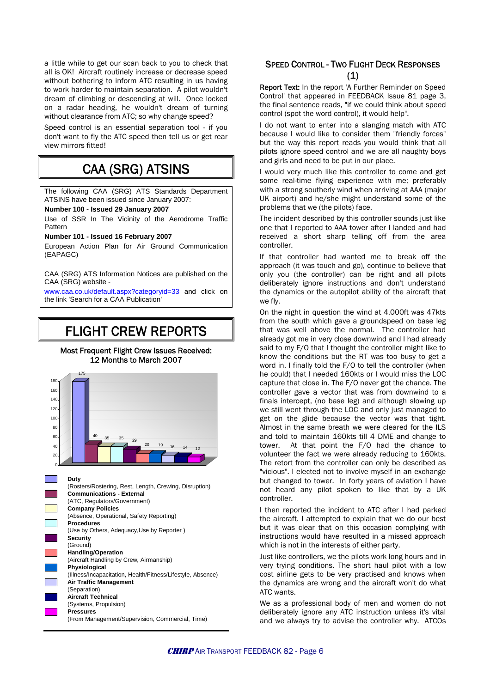a little while to get our scan back to you to check that all is OK! Aircraft routinely increase or decrease speed without bothering to inform ATC resulting in us having to work harder to maintain separation. A pilot wouldn't dream of climbing or descending at will. Once locked on a radar heading, he wouldn't dream of turning without clearance from ATC; so why change speed?

Speed control is an essential separation tool - if you don't want to fly the ATC speed then tell us or get rear view mirrors fitted!

## CAA (SRG) ATSINS

The following CAA (SRG) ATS Standards Department ATSINS have been issued since January 2007:

**Number 100 - Issued 29 January 2007** 

Use of SSR In The Vicinity of the Aerodrome Traffic Pattern

**Number 101 - Issued 16 February 2007**

European Action Plan for Air Ground Communication (EAPAGC)

CAA (SRG) ATS Information Notices are published on the CAA (SRG) website -

[www.caa.co.uk/default.aspx?categoryid=33](http://www.caa.co.uk/default.aspx?categoryid=33) and click on the link 'Search for a CAA Publication'

## FLIGHT CREW REPORTS

#### Most Frequent Flight Crew Issues Received: 12 Months to March 2007



**Duty**

(Rosters/Rostering, Rest, Length, Crewing, Disruption) **Communications - External** (ATC, Regulators/Government) **Company Policies** (Absence, Operational, Safety Reporting) **Procedures** (Use by Others, Adequacy,Use by Reporter ) **Security** (Ground) **Handling/Operation** (Aircraft Handling by Crew, Airmanship) **Physiological** (Illness/Incapacitation, Health/Fitness/Lifestyle, Absence) **Air Traffic Management** (Separation) **Aircraft Technical** (Systems, Propulsion) **Pressures** (From Management/Supervision, Commercial, Time)

### SPEED CONTROL - TWO FLIGHT DECK RESPONSES (1)

Report Text: In the report 'A Further Reminder on Speed Control' that appeared in FEEDBACK Issue 81 page 3, the final sentence reads, "if we could think about speed control (spot the word control), it would help".

I do not want to enter into a slanging match with ATC because I would like to consider them "friendly forces" but the way this report reads you would think that all pilots ignore speed control and we are all naughty boys and girls and need to be put in our place.

I would very much like this controller to come and get some real-time flying experience with me; preferably with a strong southerly wind when arriving at AAA (major UK airport) and he/she might understand some of the problems that we (the pilots) face.

The incident described by this controller sounds just like one that I reported to AAA tower after I landed and had received a short sharp telling off from the area controller.

If that controller had wanted me to break off the approach (it was touch and go), continue to believe that only you (the controller) can be right and all pilots deliberately ignore instructions and don't understand the dynamics or the autopilot ability of the aircraft that we fly.

On the night in question the wind at 4,000ft was 47kts from the south which gave a groundspeed on base leg that was well above the normal. The controller had already got me in very close downwind and I had already said to my F/O that I thought the controller might like to know the conditions but the RT was too busy to get a word in. I finally told the F/O to tell the controller (when he could) that I needed 160kts or I would miss the LOC capture that close in. The F/O never got the chance. The controller gave a vector that was from downwind to a finals intercept, (no base leg) and although slowing up we still went through the LOC and only just managed to get on the glide because the vector was that tight. Almost in the same breath we were cleared for the ILS and told to maintain 160kts till 4 DME and change to tower. At that point the F/O had the chance to volunteer the fact we were already reducing to 160kts. The retort from the controller can only be described as "vicious". I elected not to involve myself in an exchange but changed to tower. In forty years of aviation I have not heard any pilot spoken to like that by a UK controller.

I then reported the incident to ATC after I had parked the aircraft. I attempted to explain that we do our best but it was clear that on this occasion complying with instructions would have resulted in a missed approach which is not in the interests of either party.

Just like controllers, we the pilots work long hours and in very trying conditions. The short haul pilot with a low cost airline gets to be very practised and knows when the dynamics are wrong and the aircraft won't do what ATC wants.

We as a professional body of men and women do not deliberately ignore any ATC instruction unless it's vital and we always try to advise the controller why. ATCOs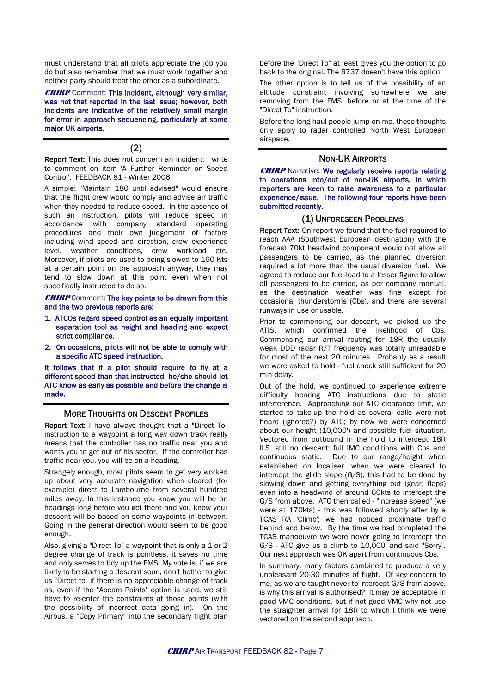must understand that all pilots appreciate the job you do but also remember that we must work together and neither party should treat the other as a subordinate.

**CHIRP** Comment: This incident, although very similar, was not that reported in the last issue; however, both incidents are indicative of the relatively small margin for error in approach sequencing, particularly at some major UK airports.

(2)

Report Text: This does not concern an incident; I write to comment on item 'A Further Reminder on Speed Control'. FEEDBACK 81 - Winter 2006

A simple: "Maintain 180 until advised" would ensure that the flight crew would comply and advise air traffic when they needed to reduce speed. In the absence of such an instruction, pilots will reduce speed in accordance with company standard operating procedures and their own judgement of factors including wind speed and direction, crew experience level, weather conditions, crew workload etc. Moreover, if pilots are used to being slowed to 160 Kts at a certain point on the approach anyway, they may tend to slow down at this point even when not specifically instructed to do so.

**CHIRP** Comment: The key points to be drawn from this and the two previous reports are:

- 1. ATCOs regard speed control as an equally important separation tool as height and heading and expect strict compliance.
- 2. On occasions, pilots will not be able to comply with a specific ATC speed instruction.

It follows that if a pilot should require to fly at a different speed than that instructed, he/she should let ATC know as early as possible and before the change is made.

#### MORE THOUGHTS ON DESCENT PROFILES

Report Text: I have always thought that a "Direct To" instruction to a waypoint a long way down track really means that the controller has no traffic near you and wants you to get out of his sector. If the controller has traffic near you, you will be on a heading.

Strangely enough, most pilots seem to get very worked up about very accurate navigation when cleared (for example) direct to Lambourne from several hundred miles away. In this instance you know you will be on headings long before you get there and you know your descent will be based on some waypoints in between. Going in the general direction would seem to be good enough.

Also, giving a "Direct To" a waypoint that is only a 1 or 2 degree change of track is pointless, it saves no time and only serves to tidy up the FMS. My vote is, if we are likely to be starting a descent soon, don't bother to give us "Direct to" if there is no appreciable change of track as, even if the "Abeam Points" option is used, we still have to re-enter the constraints at those points (with the possibility of incorrect data going in). On the Airbus, a "Copy Primary" into the secondary flight plan before the "Direct To" at least gives you the option to go back to the original. The B737 doesn't have this option.

The other option is to tell us of the possibility of an altitude constraint involving somewhere we are removing from the FMS, before or at the time of the "Direct To" instruction.

Before the long haul people jump on me, these thoughts only apply to radar controlled North West European airspace.

#### NON-UK AIRPORTS

**CHIRP** Narrative: We regularly receive reports relating to operations into/out of non-UK airports, in which reporters are keen to raise awareness to a particular experience/issue. The following four reports have been submitted recently.

#### (1) UNFORESEEN PROBLEMS

Report Text: On report we found that the fuel required to reach AAA (Southwest European destination) with the forecast 70kt headwind component would not allow all passengers to be carried, as the planned diversion required a lot more than the usual diversion fuel. We agreed to reduce our fuel-load to a lesser figure to allow all passengers to be carried, as per company manual, as the destination weather was fine except for occasional thunderstorms (Cbs), and there are several runways in use or usable.

Prior to commencing our descent, we picked up the ATIS, which confirmed the likelihood of Cbs. Commencing our arrival routing for 18R the usually weak DDD radar R/T frequency was totally unreadable for most of the next 20 minutes. Probably as a result we were asked to hold - fuel check still sufficient for 20 min delay.

Out of the hold, we continued to experience extreme difficulty hearing ATC instructions due to static interference. Approaching our ATC clearance limit, we started to take-up the hold as several calls were not heard (ignored?) by ATC; by now we were concerned about our height (10,000') and possible fuel situation. Vectored from outbound in the hold to intercept 18R ILS, still no descent; full IMC conditions with Cbs and continuous static. Due to our range/height when established on localiser, when we were cleared to intercept the glide slope (G/S), this had to be done by slowing down and getting everything out (gear, flaps) even into a headwind of around 60kts to intercept the G/S from above. ATC then called - "Increase speed" (we were at 170kts) - this was followed shortly after by a TCAS RA 'Climb'; we had noticed proximate traffic behind and below. By the time we had completed the TCAS manoeuvre we were never going to intercept the G/S - ATC give us a climb to 10,000' and said "Sorry". Our next approach was OK apart from continuous Cbs.

In summary, many factors combined to produce a very unpleasant 20-30 minutes of flight. Of key concern to me, as we are taught never to intercept G/S from above, is why this arrival is authorised? It may be acceptable in good VMC conditions, but if not good VMC why not use the straighter arrival for 18R to which I think we were vectored on the second approach.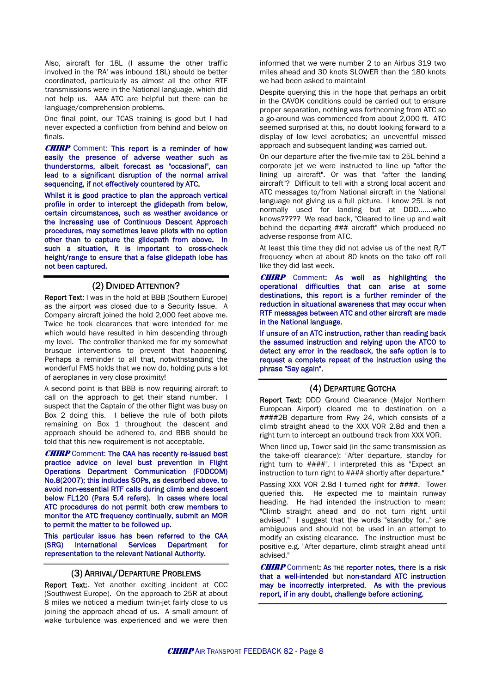Also, aircraft for 18L (I assume the other traffic involved in the 'RA' was inbound 18L) should be better coordinated, particularly as almost all the other RTF transmissions were in the National language, which did not help us. AAA ATC are helpful but there can be language/comprehension problems.

One final point, our TCAS training is good but I had never expected a confliction from behind and below on finals.

**CHIRP** Comment: This report is a reminder of how easily the presence of adverse weather such as thunderstorms, albeit forecast as "occasional", can lead to a significant disruption of the normal arrival sequencing, if not effectively countered by ATC.

Whilst it is good practice to plan the approach vertical profile in order to intercept the glidepath from below, certain circumstances, such as weather avoidance or the increasing use of Continuous Descent Approach procedures, may sometimes leave pilots with no option other than to capture the glidepath from above. In such a situation, it is important to cross-check height/range to ensure that a false glidepath lobe has not been captured.

#### (2) DIVIDED ATTENTION?

Report Text: I was in the hold at BBB (Southern Europe) as the airport was closed due to a Security Issue. A Company aircraft joined the hold 2,000 feet above me. Twice he took clearances that were intended for me which would have resulted in him descending through my level. The controller thanked me for my somewhat brusque interventions to prevent that happening. Perhaps a reminder to all that, notwithstanding the wonderful FMS holds that we now do, holding puts a lot of aeroplanes in very close proximity!

A second point is that BBB is now requiring aircraft to call on the approach to get their stand number. I suspect that the Captain of the other flight was busy on Box 2 doing this. I believe the rule of both pilots remaining on Box 1 throughout the descent and approach should be adhered to, and BBB should be told that this new requirement is not acceptable.

**CHIRP** Comment: The CAA has recently re-issued best practice advice on level bust prevention in Flight Operations Department Communication (FODCOM) No.8(2007); this includes SOPs, as described above, to avoid non-essential RTF calls during climb and descent below FL120 (Para 5.4 refers). In cases where local ATC procedures do not permit both crew members to monitor the ATC frequency continually, submit an MOR to permit the matter to be followed up.

This particular issue has been referred to the CAA (SRG) International Services Department for representation to the relevant National Authority.

#### (3) ARRIVAL/DEPARTURE PROBLEMS

Report Text:. Yet another exciting incident at CCC (Southwest Europe). On the approach to 25R at about 8 miles we noticed a medium twin-jet fairly close to us joining the approach ahead of us. A small amount of wake turbulence was experienced and we were then informed that we were number 2 to an Airbus 319 two miles ahead and 30 knots SLOWER than the 180 knots we had been asked to maintain!

Despite querying this in the hope that perhaps an orbit in the CAVOK conditions could be carried out to ensure proper separation, nothing was forthcoming from ATC so a go-around was commenced from about 2,000 ft. ATC seemed surprised at this, no doubt looking forward to a display of low level aerobatics; an uneventful missed approach and subsequent landing was carried out.

On our departure after the five-mile taxi to 25L behind a corporate jet we were instructed to line up "after the lining up aircraft". Or was that "after the landing aircraft"? Difficult to tell with a strong local accent and ATC messages to/from National aircraft in the National language not giving us a full picture. I know 25L is not normally used for landing but at DDD.......who knows????? We read back, "Cleared to line up and wait behind the departing ### aircraft" which produced no adverse response from ATC.

At least this time they did not advise us of the next R/T frequency when at about 80 knots on the take off roll like they did last week.

CHIRPComment: As well as highlighting the operational difficulties that can arise at some destinations, this report is a further reminder of the reduction in situational awareness that may occur when RTF messages between ATC and other aircraft are made in the National language.

If unsure of an ATC instruction, rather than reading back the assumed instruction and relying upon the ATCO to detect any error in the readback, the safe option is to request a complete repeat of the instruction using the phrase "Say again".

#### (4) DEPARTURE GOTCHA

Report Text: DDD Ground Clearance (Major Northern European Airport) cleared me to destination on a ####2B departure from Rwy 24, which consists of a climb straight ahead to the XXX VOR 2.8d and then a right turn to intercept an outbound track from XXX VOR.

When lined up, Tower said (in the same transmission as the take-off clearance): "After departure, standby for right turn to ####". I interpreted this as "Expect an instruction to turn right to #### shortly after departure."

Passing XXX VOR 2.8d I turned right for ####. Tower queried this. He expected me to maintain runway heading. He had intended the instruction to mean: "Climb straight ahead and do not turn right until advised." I suggest that the words "standby for.." are ambiguous and should not be used in an attempt to modify an existing clearance. The instruction must be positive e.g. "After departure, climb straight ahead until advised."

CHIRPComment: AS THE reporter notes, there is a risk that a well-intended but non-standard ATC instruction may be incorrectly interpreted. As with the previous report, if in any doubt, challenge before actioning.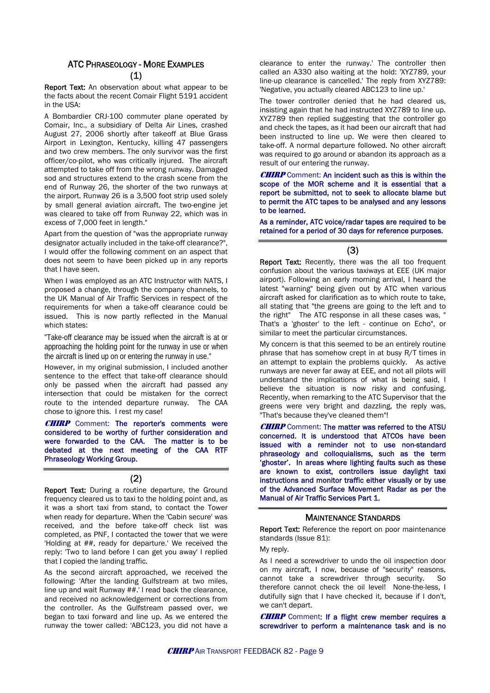### ATC PHRASEOLOGY - MORE EXAMPLES (1)

Report Text: An observation about what appear to be the facts about the recent Comair Flight 5191 accident in the USA:

A Bombardier CRJ-100 commuter plane operated by Comair, Inc., a subsidiary of Delta Air Lines, crashed August 27, 2006 shortly after takeoff at Blue Grass Airport in Lexington, Kentucky, killing 47 passengers and two crew members. The only survivor was the first officer/co-pilot, who was critically injured. The aircraft attempted to take off from the wrong runway. Damaged sod and structures extend to the crash scene from the end of Runway 26, the shorter of the two runways at the airport. Runway 26 is a 3,500 foot strip used solely by small general aviation aircraft. The two-engine jet was cleared to take off from Runway 22, which was in excess of 7,000 feet in length."

Apart from the question of "was the appropriate runway designator actually included in the take-off clearance?", I would offer the following comment on an aspect that does not seem to have been picked up in any reports that I have seen.

When I was employed as an ATC Instructor with NATS, I proposed a change, through the company channels, to the UK Manual of Air Traffic Services in respect of the requirements for when a take-off clearance could be issued. This is now partly reflected in the Manual which states:

"Take-off clearance may be issued when the aircraft is at or approaching the holding point for the runway in use or when the aircraft is lined up on or entering the runway in use."

However, in my original submission, I included another sentence to the effect that take-off clearance should only be passed when the aircraft had passed any intersection that could be mistaken for the correct route to the intended departure runway. The CAA chose to ignore this. I rest my case!

**CHIRP** Comment: The reporter's comments were considered to be worthy of further consideration and were forwarded to the CAA. The matter is to be debated at the next meeting of the CAA RTF Phraseology Working Group.

#### (2)

Report Text: During a routine departure, the Ground frequency cleared us to taxi to the holding point and, as it was a short taxi from stand, to contact the Tower when ready for departure. When the 'Cabin secure' was received, and the before take-off check list was completed, as PNF, I contacted the tower that we were 'Holding at ##, ready for departure.' We received the reply: 'Two to land before I can get you away' I replied that I copied the landing traffic.

As the second aircraft approached, we received the following: 'After the landing Gulfstream at two miles, line up and wait Runway ##.' I read back the clearance, and received no acknowledgement or corrections from the controller. As the Gulfstream passed over, we began to taxi forward and line up. As we entered the runway the tower called: 'ABC123, you did not have a clearance to enter the runway.' The controller then called an A330 also waiting at the hold: 'XYZ789, your line-up clearance is cancelled.' The reply from XYZ789: 'Negative, you actually cleared ABC123 to line up.'

The tower controller denied that he had cleared us, insisting again that he had instructed XYZ789 to line up. XYZ789 then replied suggesting that the controller go and check the tapes, as it had been our aircraft that had been instructed to line up. We were then cleared to take-off. A normal departure followed. No other aircraft was required to go around or abandon its approach as a result of our entering the runway.

**CHIRP** Comment: An incident such as this is within the scope of the MOR scheme and it is essential that a report be submitted, not to seek to allocate blame but to permit the ATC tapes to be analysed and any lessons to be learned.

As a reminder, ATC voice/radar tapes are required to be retained for a period of 30 days for reference purposes.

#### (3)

Report Text: Recently, there was the all too frequent confusion about the various taxiways at EEE (UK major airport). Following an early morning arrival, I heard the latest "warning" being given out by ATC when various aircraft asked for clarification as to which route to take, all stating that "the greens are going to the left and to the right" The ATC response in all these cases was, " That's a 'ghoster' to the left - continue on Echo", or similar to meet the particular circumstances.

My concern is that this seemed to be an entirely routine phrase that has somehow crept in at busy R/T times in an attempt to explain the problems quickly. As active runways are never far away at EEE, and not all pilots will understand the implications of what is being said, I believe the situation is now risky and confusing. Recently, when remarking to the ATC Supervisor that the greens were very bright and dazzling, the reply was, "That's because they've cleaned them"!

**CHIRP** Comment: The matter was referred to the ATSU concerned. It is understood that ATCOs have been issued with a reminder not to use non-standard phraseology and colloquialisms, such as the term 'ghoster'. In areas where lighting faults such as these are known to exist, controllers issue daylight taxi instructions and monitor traffic either visually or by use of the Advanced Surface Movement Radar as per the Manual of Air Traffic Services Part 1.

#### MAINTENANCE STANDARDS

Report Text: Reference the report on poor maintenance standards (Issue 81):

My reply.

As I need a screwdriver to undo the oil inspection door on my aircraft, I now, because of "security" reasons, cannot take a screwdriver through security. So therefore cannot check the oil level! None-the-less, I dutifully sign that I have checked it, because if I don't, we can't depart.

**CHIRP** Comment: If a flight crew member requires a screwdriver to perform a maintenance task and is no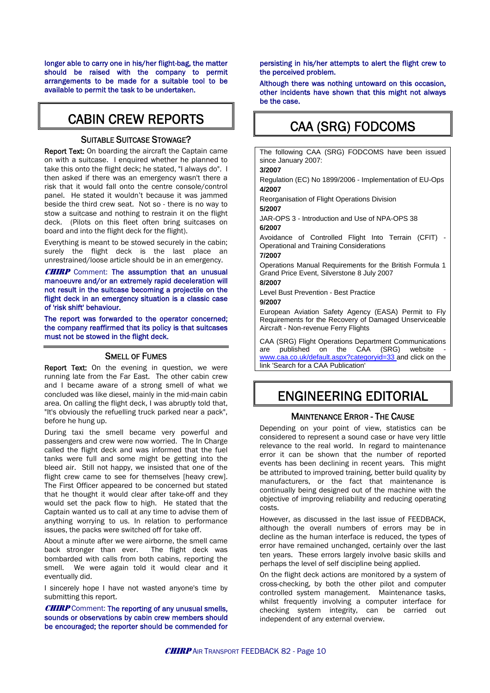longer able to carry one in his/her flight-bag, the matter should be raised with the company to permit arrangements to be made for a suitable tool to be available to permit the task to be undertaken.

## CABIN CREW REPORTS

#### SUITABLE SUITCASE STOWAGE?

Report Text: On boarding the aircraft the Captain came on with a suitcase. I enquired whether he planned to take this onto the flight deck; he stated, "I always do". I then asked if there was an emergency wasn't there a risk that it would fall onto the centre console/control panel. He stated it wouldn't because it was jammed beside the third crew seat. Not so - there is no way to stow a suitcase and nothing to restrain it on the flight deck. (Pilots on this fleet often bring suitcases on board and into the flight deck for the flight).

Everything is meant to be stowed securely in the cabin; surely the flight deck is the last place an unrestrained/loose article should be in an emergency.

**CHIRP** Comment: The assumption that an unusual manoeuvre and/or an extremely rapid deceleration will not result in the suitcase becoming a projectile on the flight deck in an emergency situation is a classic case of 'risk shift' behaviour.

The report was forwarded to the operator concerned; the company reaffirmed that its policy is that suitcases must not be stowed in the flight deck.

#### SMELL OF FUMES

Report Text: On the evening in question, we were running late from the Far East. The other cabin crew and I became aware of a strong smell of what we concluded was like diesel, mainly in the mid-main cabin area. On calling the flight deck, I was abruptly told that, "It's obviously the refuelling truck parked near a pack", before he hung up.

During taxi the smell became very powerful and passengers and crew were now worried. The In Charge called the flight deck and was informed that the fuel tanks were full and some might be getting into the bleed air. Still not happy, we insisted that one of the flight crew came to see for themselves [heavy crew]. The First Officer appeared to be concerned but stated that he thought it would clear after take-off and they would set the pack flow to high. He stated that the Captain wanted us to call at any time to advise them of anything worrying to us. In relation to performance issues, the packs were switched off for take off.

About a minute after we were airborne, the smell came back stronger than ever. The flight deck was bombarded with calls from both cabins, reporting the smell. We were again told it would clear and it eventually did.

I sincerely hope I have not wasted anyone's time by submitting this report.

**CHIRP** Comment: The reporting of any unusual smells, sounds or observations by cabin crew members should be encouraged; the reporter should be commended for persisting in his/her attempts to alert the flight crew to the perceived problem.

Although there was nothing untoward on this occasion, other incidents have shown that this might not always be the case.

## CAA (SRG) FODCOMS

The following CAA (SRG) FODCOMS have been issued since January 2007: **3/2007**  Regulation (EC) No 1899/2006 - Implementation of EU-Ops **4/2007** Reorganisation of Flight Operations Division **5/2007** JAR-OPS 3 - Introduction and Use of NPA-OPS 38 **6/2007** Avoidance of Controlled Flight Into Terrain (CFIT) - Operational and Training Considerations **7/2007** Operations Manual Requirements for the British Formula 1 Grand Price Event, Silverstone 8 July 2007 **8/2007** Level Bust Prevention - Best Practice **9/2007** European Aviation Safety Agency (EASA) Permit to Fly Requirements for the Recovery of Damaged Unserviceable Aircraft - Non-revenue Ferry Flights CAA (SRG) Flight Operations Department Communications are published on the CAA (SRG) website [www.caa.co.uk/default.aspx?categoryid=33](http://www.caa.co.uk/default.aspx?categoryid=33) and click on the link 'Search for a CAA Publication'

## ENGINEERING EDITORIAL

#### MAINTENANCE ERROR - THE CAUSE

Depending on your point of view, statistics can be considered to represent a sound case or have very little relevance to the real world. In regard to maintenance error it can be shown that the number of reported events has been declining in recent years. This might be attributed to improved training, better build quality by manufacturers, or the fact that maintenance is continually being designed out of the machine with the objective of improving reliability and reducing operating costs.

However, as discussed in the last issue of FEEDBACK, although the overall numbers of errors may be in decline as the human interface is reduced, the types of error have remained unchanged, certainly over the last ten years. These errors largely involve basic skills and perhaps the level of self discipline being applied.

On the flight deck actions are monitored by a system of cross-checking, by both the other pilot and computer controlled system management. Maintenance tasks, whilst frequently involving a computer interface for checking system integrity, can be carried out independent of any external overview.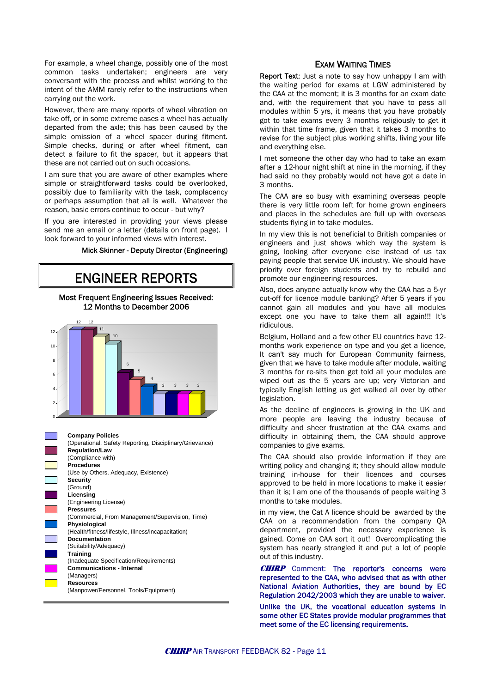For example, a wheel change, possibly one of the most common tasks undertaken; engineers are very conversant with the process and whilst working to the intent of the AMM rarely refer to the instructions when carrying out the work.

However, there are many reports of wheel vibration on take off, or in some extreme cases a wheel has actually departed from the axle; this has been caused by the simple omission of a wheel spacer during fitment. Simple checks, during or after wheel fitment, can detect a failure to fit the spacer, but it appears that these are not carried out on such occasions.

I am sure that you are aware of other examples where simple or straightforward tasks could be overlooked, possibly due to familiarity with the task, complacency or perhaps assumption that all is well. Whatever the reason, basic errors continue to occur - but why?

If you are interested in providing your views please send me an email or a letter (details on front page). I look forward to your informed views with interest.

#### Mick Skinner - Deputy Director (Engineering)

## ENGINEER REPORTS

#### Most Frequent Engineering Issues Received: 12 Months to December 2006





#### EXAM WAITING TIMES

Report Text: Just a note to say how unhappy I am with the waiting period for exams at LGW administered by the CAA at the moment; it is 3 months for an exam date and, with the requirement that you have to pass all modules within 5 yrs, it means that you have probably got to take exams every 3 months religiously to get it within that time frame, given that it takes 3 months to revise for the subject plus working shifts, living your life and everything else.

I met someone the other day who had to take an exam after a 12-hour night shift at nine in the morning, if they had said no they probably would not have got a date in 3 months.

The CAA are so busy with examining overseas people there is very little room left for home grown engineers and places in the schedules are full up with overseas students flying in to take modules.

In my view this is not beneficial to British companies or engineers and just shows which way the system is going, looking after everyone else instead of us tax paying people that service UK industry. We should have priority over foreign students and try to rebuild and promote our engineering resources.

Also, does anyone actually know why the CAA has a 5-yr cut-off for licence module banking? After 5 years if you cannot gain all modules and you have all modules except one you have to take them all again!!! It's ridiculous.

Belgium, Holland and a few other EU countries have 12 months work experience on type and you get a licence, It can't say much for European Community fairness, given that we have to take module after module, waiting 3 months for re-sits then get told all your modules are wiped out as the 5 years are up; very Victorian and typically English letting us get walked all over by other legislation.

As the decline of engineers is growing in the UK and more people are leaving the industry because of difficulty and sheer frustration at the CAA exams and difficulty in obtaining them, the CAA should approve companies to give exams.

The CAA should also provide information if they are writing policy and changing it; they should allow module training in-house for their licences and courses approved to be held in more locations to make it easier than it is; I am one of the thousands of people waiting 3 months to take modules.

in my view, the Cat A licence should be awarded by the CAA on a recommendation from the company QA department, provided the necessary experience is gained. Come on CAA sort it out! Overcomplicating the system has nearly strangled it and put a lot of people out of this industry.

**CHIRP** Comment: The reporter's concerns were represented to the CAA, who advised that as with other National Aviation Authorities, they are bound by EC Regulation 2042/2003 which they are unable to waiver.

Unlike the UK, the vocational education systems in some other EC States provide modular programmes that meet some of the EC licensing requirements.